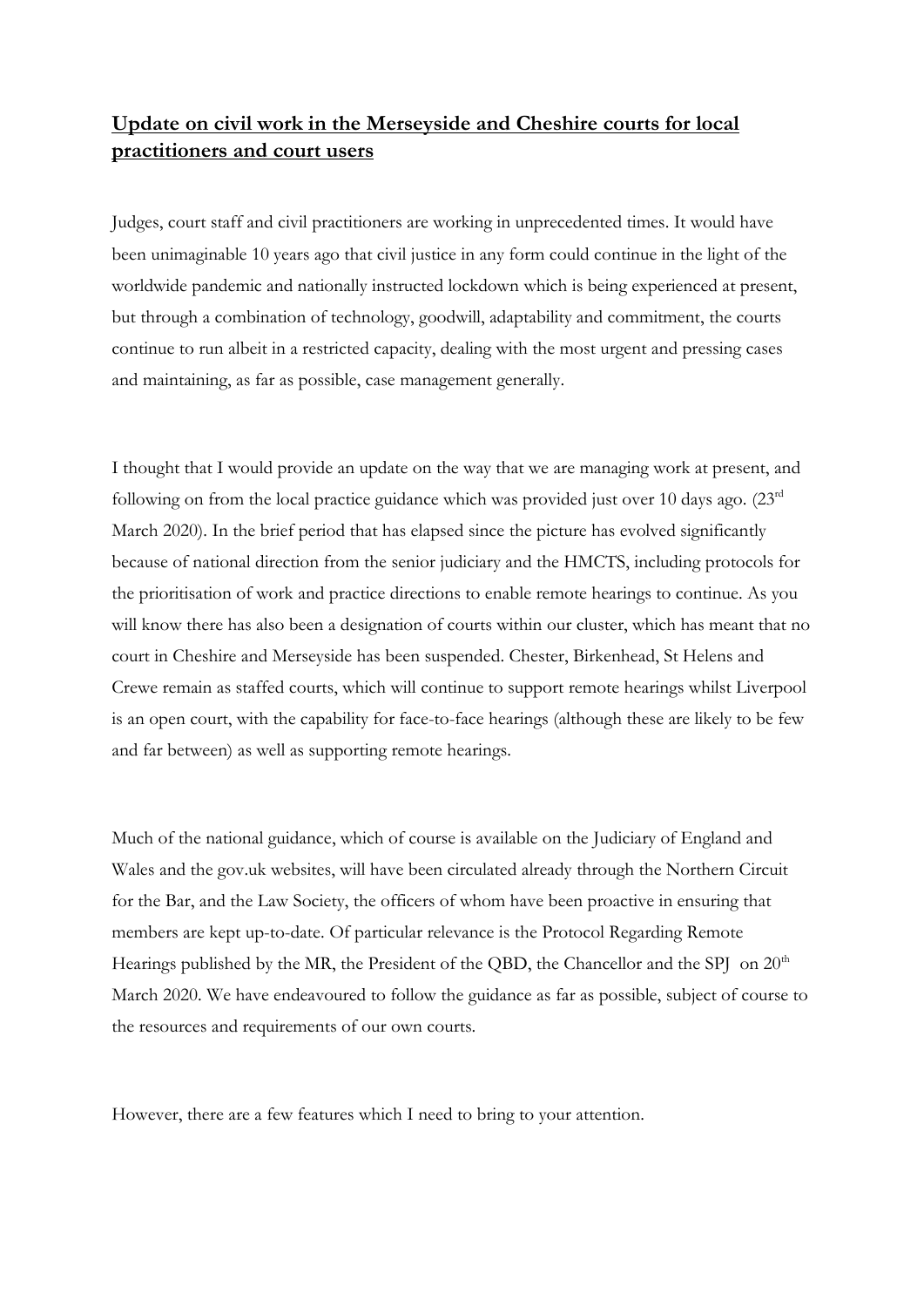## **Update on civil work in the Merseyside and Cheshire courts for local practitioners and court users**

Judges, court staff and civil practitioners are working in unprecedented times. It would have been unimaginable 10 years ago that civil justice in any form could continue in the light of the worldwide pandemic and nationally instructed lockdown which is being experienced at present, but through a combination of technology, goodwill, adaptability and commitment, the courts continue to run albeit in a restricted capacity, dealing with the most urgent and pressing cases and maintaining, as far as possible, case management generally.

I thought that I would provide an update on the way that we are managing work at present, and following on from the local practice guidance which was provided just over 10 days ago. (23rd March 2020). In the brief period that has elapsed since the picture has evolved significantly because of national direction from the senior judiciary and the HMCTS, including protocols for the prioritisation of work and practice directions to enable remote hearings to continue. As you will know there has also been a designation of courts within our cluster, which has meant that no court in Cheshire and Merseyside has been suspended. Chester, Birkenhead, St Helens and Crewe remain as staffed courts, which will continue to support remote hearings whilst Liverpool is an open court, with the capability for face-to-face hearings (although these are likely to be few and far between) as well as supporting remote hearings.

Much of the national guidance, which of course is available on the Judiciary of England and Wales and the gov.uk websites, will have been circulated already through the Northern Circuit for the Bar, and the Law Society, the officers of whom have been proactive in ensuring that members are kept up-to-date. Of particular relevance is the Protocol Regarding Remote Hearings published by the MR, the President of the QBD, the Chancellor and the SPJ on 20<sup>th</sup> March 2020. We have endeavoured to follow the guidance as far as possible, subject of course to the resources and requirements of our own courts.

However, there are a few features which I need to bring to your attention.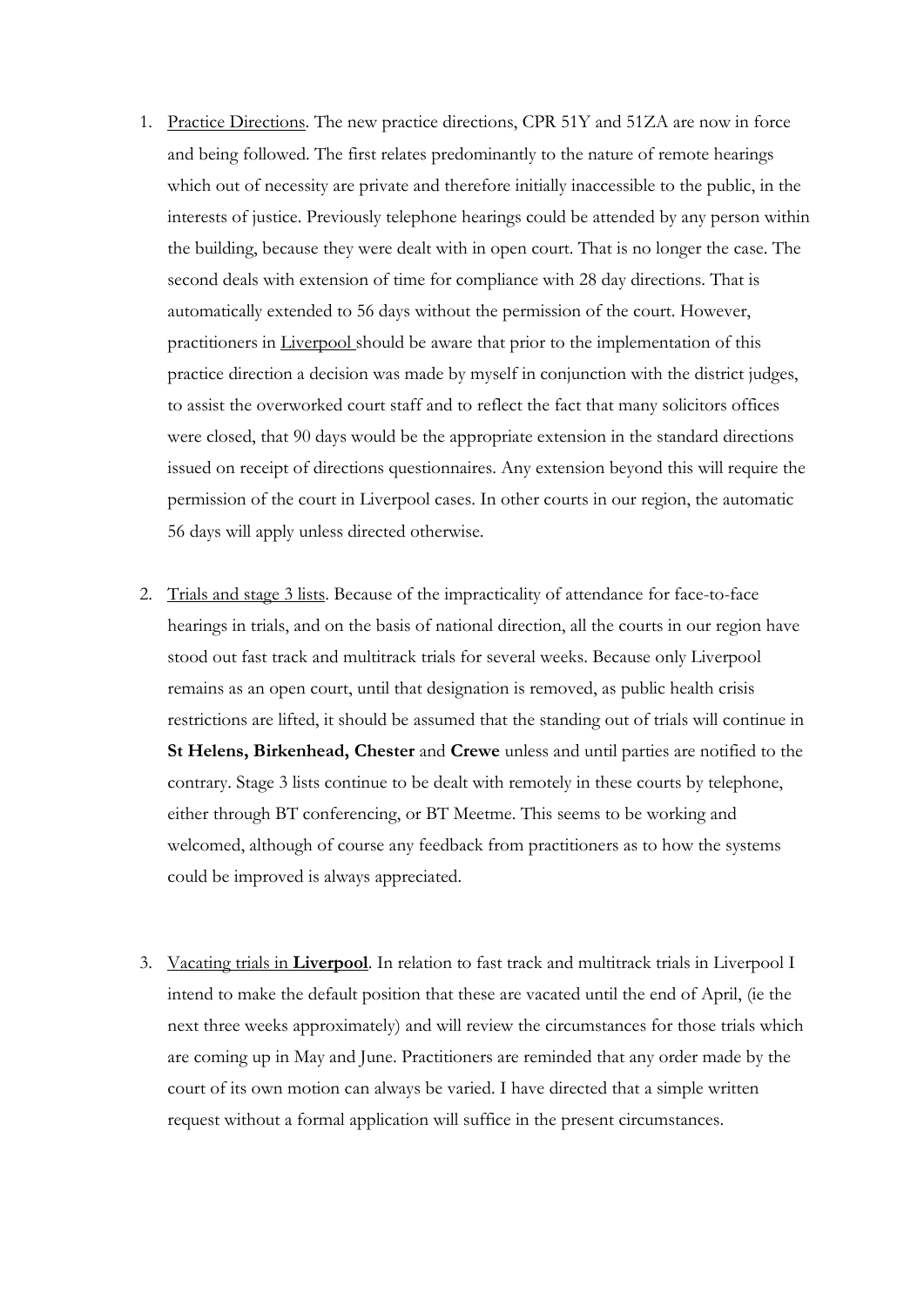- 1. Practice Directions. The new practice directions, CPR 51Y and 51ZA are now in force and being followed. The first relates predominantly to the nature of remote hearings which out of necessity are private and therefore initially inaccessible to the public, in the interests of justice. Previously telephone hearings could be attended by any person within the building, because they were dealt with in open court. That is no longer the case. The second deals with extension of time for compliance with 28 day directions. That is automatically extended to 56 days without the permission of the court. However, practitioners in Liverpool should be aware that prior to the implementation of this practice direction a decision was made by myself in conjunction with the district judges, to assist the overworked court staff and to reflect the fact that many solicitors offices were closed, that 90 days would be the appropriate extension in the standard directions issued on receipt of directions questionnaires. Any extension beyond this will require the permission of the court in Liverpool cases. In other courts in our region, the automatic 56 days will apply unless directed otherwise.
- 2. Trials and stage 3 lists. Because of the impracticality of attendance for face-to-face hearings in trials, and on the basis of national direction, all the courts in our region have stood out fast track and multitrack trials for several weeks. Because only Liverpool remains as an open court, until that designation is removed, as public health crisis restrictions are lifted, it should be assumed that the standing out of trials will continue in **St Helens, Birkenhead, Chester** and **Crewe** unless and until parties are notified to the contrary. Stage 3 lists continue to be dealt with remotely in these courts by telephone, either through BT conferencing, or BT Meetme. This seems to be working and welcomed, although of course any feedback from practitioners as to how the systems could be improved is always appreciated.
- 3. Vacating trials in **Liverpool**. In relation to fast track and multitrack trials in Liverpool I intend to make the default position that these are vacated until the end of April, (ie the next three weeks approximately) and will review the circumstances for those trials which are coming up in May and June. Practitioners are reminded that any order made by the court of its own motion can always be varied. I have directed that a simple written request without a formal application will suffice in the present circumstances.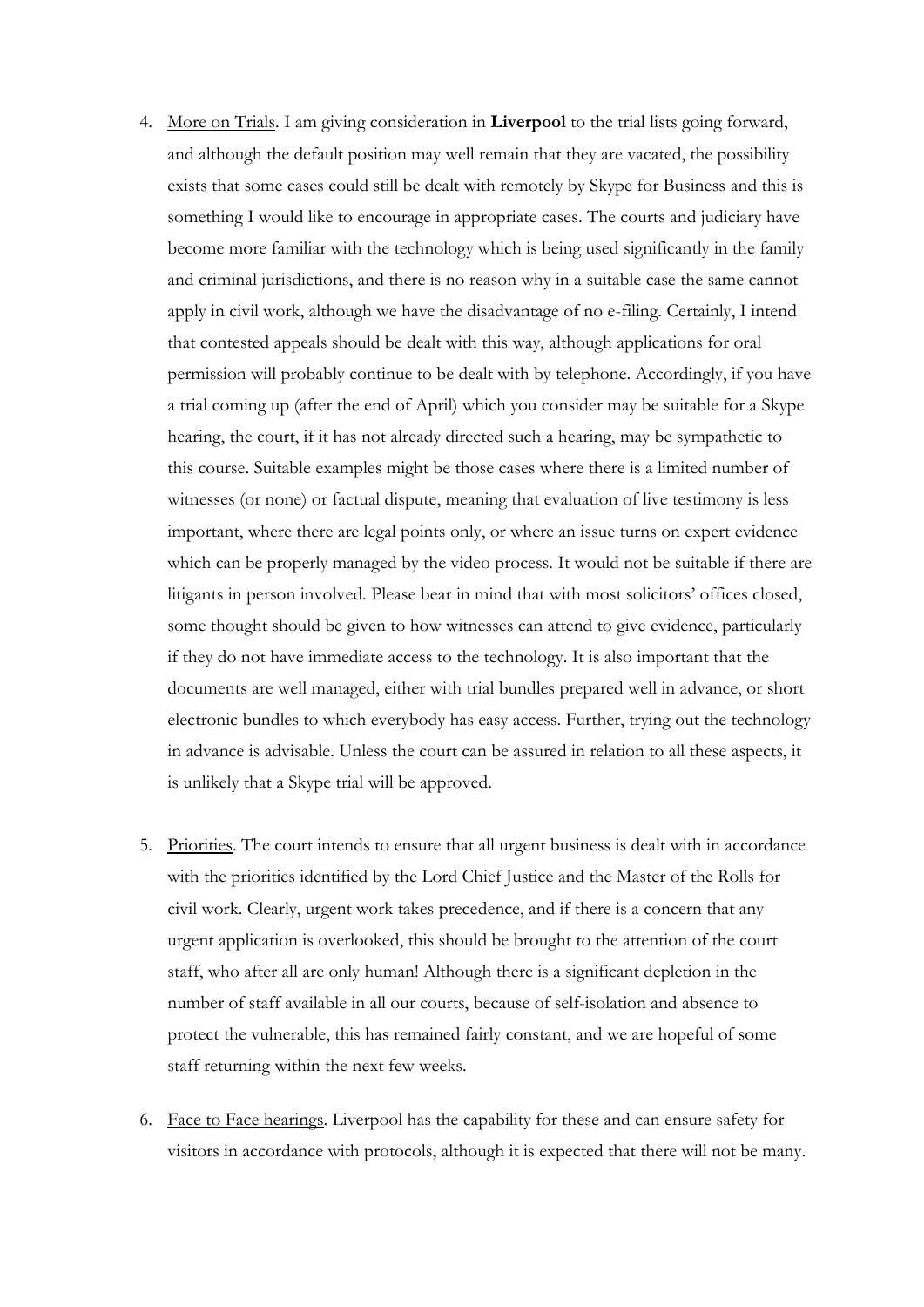- 4. More on Trials. I am giving consideration in **Liverpool** to the trial lists going forward, and although the default position may well remain that they are vacated, the possibility exists that some cases could still be dealt with remotely by Skype for Business and this is something I would like to encourage in appropriate cases. The courts and judiciary have become more familiar with the technology which is being used significantly in the family and criminal jurisdictions, and there is no reason why in a suitable case the same cannot apply in civil work, although we have the disadvantage of no e-filing. Certainly, I intend that contested appeals should be dealt with this way, although applications for oral permission will probably continue to be dealt with by telephone. Accordingly, if you have a trial coming up (after the end of April) which you consider may be suitable for a Skype hearing, the court, if it has not already directed such a hearing, may be sympathetic to this course. Suitable examples might be those cases where there is a limited number of witnesses (or none) or factual dispute, meaning that evaluation of live testimony is less important, where there are legal points only, or where an issue turns on expert evidence which can be properly managed by the video process. It would not be suitable if there are litigants in person involved. Please bear in mind that with most solicitors' offices closed, some thought should be given to how witnesses can attend to give evidence, particularly if they do not have immediate access to the technology. It is also important that the documents are well managed, either with trial bundles prepared well in advance, or short electronic bundles to which everybody has easy access. Further, trying out the technology in advance is advisable. Unless the court can be assured in relation to all these aspects, it is unlikely that a Skype trial will be approved.
- 5. Priorities. The court intends to ensure that all urgent business is dealt with in accordance with the priorities identified by the Lord Chief Justice and the Master of the Rolls for civil work. Clearly, urgent work takes precedence, and if there is a concern that any urgent application is overlooked, this should be brought to the attention of the court staff, who after all are only human! Although there is a significant depletion in the number of staff available in all our courts, because of self-isolation and absence to protect the vulnerable, this has remained fairly constant, and we are hopeful of some staff returning within the next few weeks.
- 6. Face to Face hearings. Liverpool has the capability for these and can ensure safety for visitors in accordance with protocols, although it is expected that there will not be many.